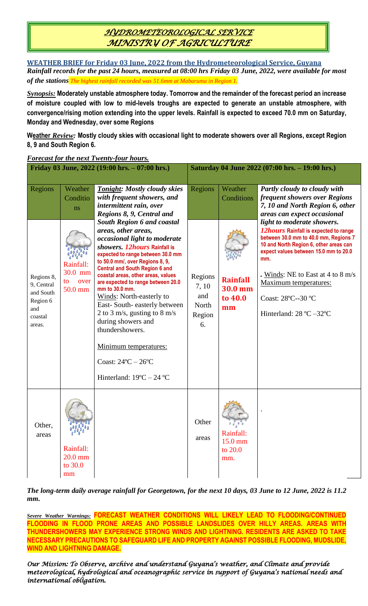# *HYDROMETEOROLOGICAL SERVICE MINISTRY OF AGRICULTURE*

**WEATHER BRIEF for Friday 03 June, 2022 from the Hydrometeorological Service, Guyana** *Rainfall records for the past 24 hours, measured at 08:00 hrs Friday 03 June, 2022, were available for most of the stations The highest rainfall recorded was 51.6mm at Mabaruma in Region 1.*

*Synopsis:* **Moderately unstable atmosphere today. Tomorrow and the remainder of the forecast period an increase of moisture coupled with low to mid-levels troughs are expected to generate an unstable atmosphere, with convergence/rising motion extending into the upper levels. Rainfall is expected to exceed 70.0 mm on Saturday, Monday and Wednesday, over some Regions**

**Weather** *Review:* **Mostly cloudy skies with occasional light to moderate showers over all Regions, except Region 8, 9 and South Region 6.**

| Friday 03 June, 2022 (19:00 hrs. - 07:00 hrs.)                                           |                                                                            |                                                                                                                                                                                                                                                                                                                                                                                                                                                                                                                                                                                                                                                                                                                   | Saturday 04 June 2022 (07:00 hrs. - 19:00 hrs.)             |                                                                      |                                                                                                                                                                                                                                                                                                                                                                                                                                                                                     |
|------------------------------------------------------------------------------------------|----------------------------------------------------------------------------|-------------------------------------------------------------------------------------------------------------------------------------------------------------------------------------------------------------------------------------------------------------------------------------------------------------------------------------------------------------------------------------------------------------------------------------------------------------------------------------------------------------------------------------------------------------------------------------------------------------------------------------------------------------------------------------------------------------------|-------------------------------------------------------------|----------------------------------------------------------------------|-------------------------------------------------------------------------------------------------------------------------------------------------------------------------------------------------------------------------------------------------------------------------------------------------------------------------------------------------------------------------------------------------------------------------------------------------------------------------------------|
| Regions<br>Regions 8,<br>9, Central<br>and South<br>Region 6<br>and<br>coastal<br>areas. | Weather<br>Conditio<br>ns<br>Rainfall:<br>30.0 mm<br>to<br>over<br>50.0 mm | <b>Tonight: Mostly cloudy skies</b><br>with frequent showers, and<br>intermittent rain, over<br>Regions 8, 9, Central and<br><b>South Region 6 and coastal</b><br>areas, other areas,<br>occasional light to moderate<br>showers. 12hours Rainfall is<br>expected to range between 30.0 mm<br>to 50.0 mm/, over Regions 8, 9,<br><b>Central and South Region 6 and</b><br>coastal areas, other areas, values<br>are expected to range between 20.0<br>mm to 30.0 mm.<br>Winds: North-easterly to<br>East-South-easterly between<br>2 to 3 m/s, gusting to 8 m/s<br>during showers and<br>thundershowers.<br>Minimum temperatures:<br>Coast: $24^{\circ}$ C $- 26^{\circ}$ C<br>Hinterland: $19^{\circ}$ C – 24 °C | Regions<br>Regions<br>7, 10<br>and<br>North<br>Region<br>6. | Weather<br>Conditions<br><b>Rainfall</b><br>30.0 mm<br>to 40.0<br>mm | Partly cloudy to cloudy with<br>frequent showers over Regions<br>7, 10 and North Region 6, other<br>areas can expect occasional<br>light to moderate showers.<br><i>12hours</i> Rainfall is expected to range<br>between 30.0 mm to 40.0 mm, Regions 7<br>10 and North Region 6, other areas can<br>expect values between 15.0 mm to 20.0<br>mm.<br>. Winds: NE to East at 4 to 8 m/s<br>Maximum temperatures:<br>Coast: 28°C--30 °C<br>Hinterland: $28 \text{ °C} - 32 \text{ °C}$ |
| Other,<br>areas                                                                          | 9 ° 9 °<br>Rainfall:<br>$20.0$ mm<br>to 30.0<br>mm                         |                                                                                                                                                                                                                                                                                                                                                                                                                                                                                                                                                                                                                                                                                                                   | Other<br>areas                                              | Rainfall:<br>15.0 mm<br>to 20.0<br>mm.                               |                                                                                                                                                                                                                                                                                                                                                                                                                                                                                     |

### *Forecast for the next Twenty-four hours.*

*The long-term daily average rainfall for Georgetown, for the next 10 days, 03 June to 12 June, 2022 is 11.2 mm.*

*Severe Weather Warnings:* **FORECAST WEATHER CONDITIONS WILL LIKELY LEAD TO FLOODING/CONTINUED FLOODING IN FLOOD PRONE AREAS AND POSSIBLE LANDSLIDES OVER HILLY AREAS. AREAS WITH THUNDERSHOWERS MAY EXPERIENCE STRONG WINDS AND LIGHTNING. RESIDENTS ARE ASKED TO TAKE NECESSARY PRECAUTIONS TO SAFEGUARD LIFE AND PROPERTY AGAINST POSSIBLE FLOODING, MUDSLIDE, WIND AND LIGHTNING DAMAGE.**

*Our Mission: To Observe, archive and understand Guyana's weather, and Climate and provide meteorological, hydrological and oceanographic service in support of Guyana's national needs and international obligation.*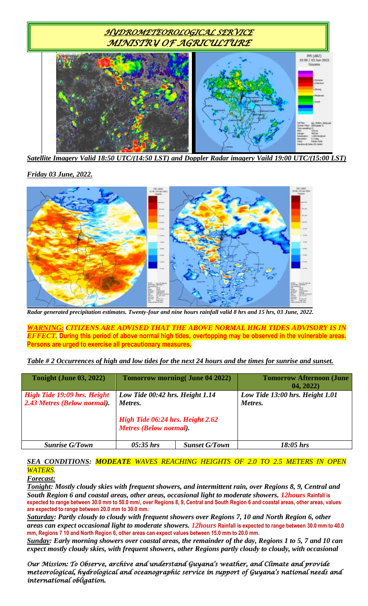

*Satellite Imagery Valid 18:50 UTC/(14:50 LST) and Doppler Radar imagery Vaild 19:00 UTC/(15:00 LST)*

*Friday 03 June, 2022.*



*Radar generated precipitation estimates. Twenty-four and nine hours rainfall valid 8 hrs and 15 hrs, 03 June, 2022.*

*WARNING: CITIZENS ARE ADVISED THAT THE ABOVE NORMAL HIGH TIDES ADVISORY IS IN EFFECT.* **During this period of above normal high tides, overtopping may be observed in the vulnerable areas. Persons are urged to exercise all precautionary measures.**

*Table # 2 Occurrences of high and low tides for the next 24 hours and the times for sunrise and sunset.*

| <b>Tonight (June 03, 2022)</b>                             |                                                                                                                 | <b>Tomorrow morning (June 04 2022)</b> | <b>Tomorrow Afternoon (June</b><br>04, 2022) |
|------------------------------------------------------------|-----------------------------------------------------------------------------------------------------------------|----------------------------------------|----------------------------------------------|
| High Tide 19:09 hrs. Height<br>2.43 Metres (Below normal). | Low Tide 00:42 hrs. Height 1.14<br>Metres.<br>High Tide 06:24 hrs. Height 2.62<br><b>Metres (Below normal).</b> |                                        | Low Tide 13:00 hrs. Height 1.01<br>Metres.   |
| <b>Sunrise G/Town</b>                                      | $05:35$ hrs                                                                                                     | <b>Sunset G/Town</b>                   | $18:05$ hrs                                  |

### *SEA CONDITIONS: MODEATE WAVES REACHING HEIGHTS OF 2.0 TO 2.5 METERS IN OPEN WATERS.*

#### *Forecast:*

*Tonight: Mostly cloudy skies with frequent showers, and intermittent rain, over Regions 8, 9, Central and South Region 6 and coastal areas, other areas, occasional light to moderate showers. 12hours* **Rainfall is expected to range between 30.0 mm to 50.0 mm/, over Regions 8, 9, Central and South Region 6 and coastal areas, other areas, values are expected to range between 20.0 mm to 30.0 mm.**

*Saturday: Partly cloudy to cloudy with frequent showers over Regions 7, 10 and North Region 6, other areas can expect occasional light to moderate showers. 12hours* **Rainfall is expected to range between 30.0 mm to 40.0 mm, Regions 7 10 and North Region 6, other areas can expect values between 15.0 mm to 20.0 mm.**

*Sunday: Early morning showers over coastal areas, the remainder of the day, Regions 1 to 5, 7 and 10 can expect mostly cloudy skies, with frequent showers, other Regions partly cloudy to cloudy, with occasional* 

*Our Mission: To Observe, archive and understand Guyana's weather, and Climate and provide meteorological, hydrological and oceanographic service in support of Guyana's national needs and international obligation.*